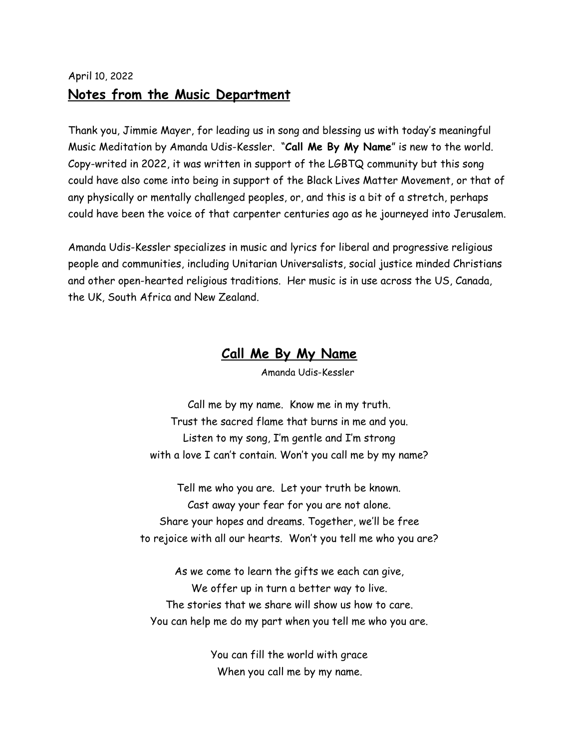## April 10, 2022 **Notes from the Music Department**

Thank you, Jimmie Mayer, for leading us in song and blessing us with today's meaningful Music Meditation by Amanda Udis-Kessler. "**Call Me By My Name**" is new to the world. Copy-writed in 2022, it was written in support of the LGBTQ community but this song could have also come into being in support of the Black Lives Matter Movement, or that of any physically or mentally challenged peoples, or, and this is a bit of a stretch, perhaps could have been the voice of that carpenter centuries ago as he journeyed into Jerusalem.

Amanda Udis-Kessler specializes in music and lyrics for liberal and progressive religious people and communities, including Unitarian Universalists, social justice minded Christians and other open-hearted religious traditions. Her music is in use across the US, Canada, the UK, South Africa and New Zealand.

## **Call Me By My Name**

Amanda Udis-Kessler

Call me by my name. Know me in my truth. Trust the sacred flame that burns in me and you. Listen to my song, I'm gentle and I'm strong with a love I can't contain. Won't you call me by my name?

Tell me who you are. Let your truth be known. Cast away your fear for you are not alone. Share your hopes and dreams. Together, we'll be free to rejoice with all our hearts. Won't you tell me who you are?

As we come to learn the gifts we each can give, We offer up in turn a better way to live. The stories that we share will show us how to care. You can help me do my part when you tell me who you are.

> You can fill the world with grace When you call me by my name.